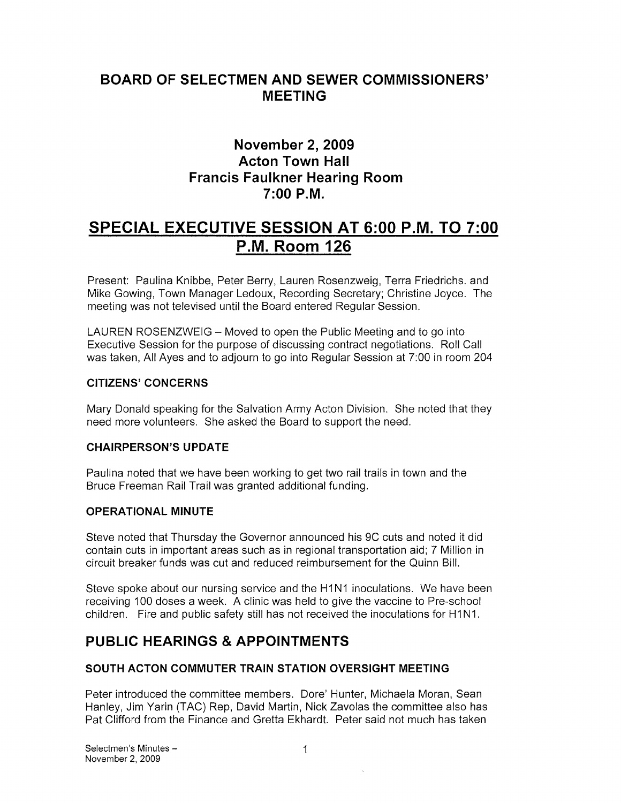## BOARD OF SELECTMEN AND SEWER COMMISSIONERS' MEETING

## November 2, 2009 Acton Town Hall Francis Faulkner Hearing Room 7:00 P.M.

# SPECIAL EXECUTIVE SESSION AT 6:00 P.M. TO 7:00 P.M. Room 126

Present: Paulina Knibbe, Peter Berry, Lauren Rosenzweig, Terra Friedrichs. and Mike Gowing, Town Manager Ledoux, Recording Secretary; Christine Joyce. The meeting was not televised until the Board entered Regular Session.

LAUREN ROSENZWEIG — Moved to open the Public Meeting and to go into Executive Session for the purpose of discussing contract negotiations. Roll Call was taken, All Ayes and to adjourn to go into Regular Session at 7:00 in room 204

#### CITIZENS' CONCERNS

Mary Donald speaking for the Salvation Army Acton Division. She noted that they need more volunteers. She asked the Board to support the need.

#### CHAIRPERSON'S UPDATE

Paulina noted that we have been working to get two rail trails in town and the Bruce Freeman Rail Trail was granted additional funding.

#### OPERATIONAL MINUTE

Steve noted that Thursday the Governor announced his 9C cuts and noted it did contain cuts in important areas such as in regional transportation aid; 7 Million in circuit breaker funds was cut and reduced reimbursement for the Quinn Bill.

Steve spoke about our nursing service and the H1N1 inoculations. We have been receiving 100 doses a week, A clinic was held to give the vaccine to Pre-school children. Fire and public safety still has not received the inoculations for H1N1.

## PUBLIC HEARINGS & APPOINTMENTS

#### SOUTH ACTON COMMUTER TRAIN STATION OVERSIGHT MEETING

Peter introduced the committee members. Dore' Hunter, Michaela Moran, Sean Hanley, Jim Yarin (TAC) Rep, David Martin, Nick Zavolas the committee also has Pat Clifford from the Finance and Gretta Ekhardt. Peter said not much has taken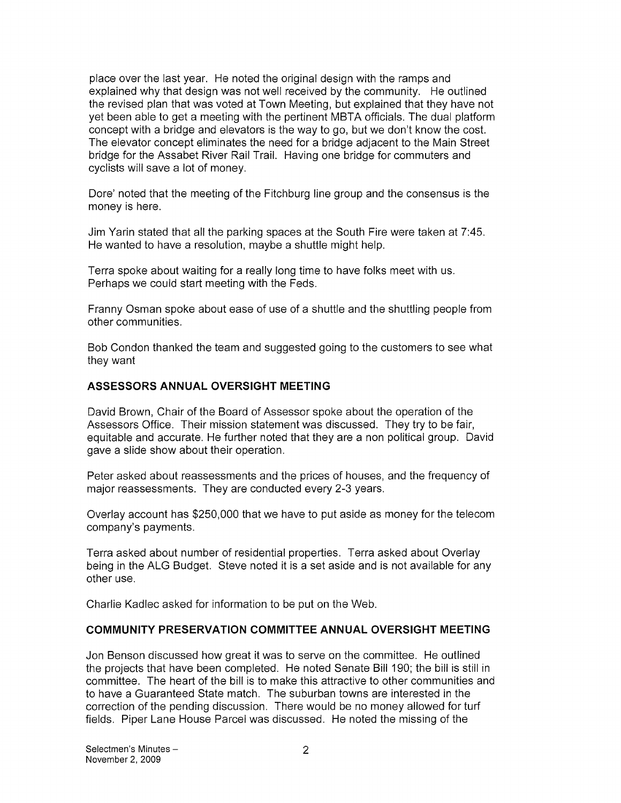place over the last year. He noted the original design with the ramps and explained why that design was not well received by the community. He outlined the revised plan that was voted at Town Meeting, but explained that they have not yet been able to get a meeting with the pertinent MBTA officials. The dual platform concept with a bridge and elevators is the way to go, but we don't know the cost. The elevator concept eliminates the need for a bridge adjacent to the Main Street bridge for the Assabet River Rail Trail. Having one bridge for commuters and cyclists will save a lot of money.

Dore' noted that the meeting of the Fitchburg line group and the consensus is the money is here.

Jim Yarin stated that all the parking spaces at the South Fire were taken at 7:45. He wanted to have a resolution, maybe a shuttle might help.

Terra spoke about waiting for a really long time to have folks meet with us. Perhaps we could start meeting with the Feds.

Franny Osman spoke about ease of use of a shuttle and the shuttling people from other communities.

Bob Condon thanked the team and suggested going to the customers to see what they want

#### ASSESSORS ANNUAL OVERSIGHT MEETING

David Brown, Chair of the Board of Assessor spoke about the operation of the Assessors Office. Their mission statement was discussed. They try to be fair, equitable and accurate. He further noted that they are a non political group. David gave a slide show about their operation.

Peter asked about reassessments and the prices of houses, and the frequency of major reassessments. They are conducted every 2-3 years.

Overlay account has \$250,000 that we have to put aside as money for the telecom company's payments.

Terra asked about number of residential properties. Terra asked about Overlay being in the ALG Budget. Steve noted it is a set aside and is not available for any other use.

Charlie Kadlec asked for information to be put on the Web.

#### COMMUNITY PRESERVATION COMMITTEE ANNUAL OVERSIGHT MEETING

Jon Benson discussed how great it was to serve on the committee. He outlined the projects that have been completed. He noted Senate Bill 190; the bill is still in committee. The heart of the bill is to make this attractive to other communities and to have a Guaranteed State match. The suburban towns are interested in the correction of the pending discussion. There would be no money allowed for turf fields. Piper Lane House Parcel was discussed. He noted the missing of the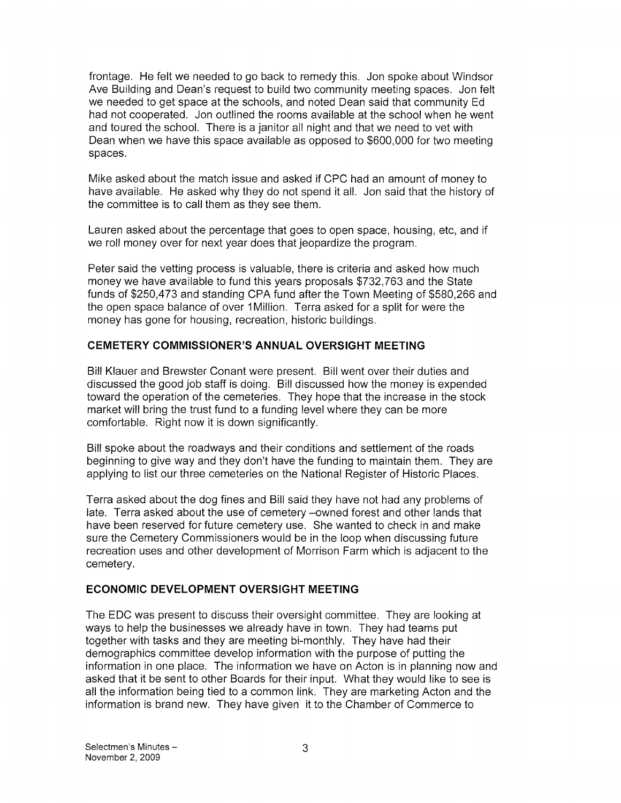frontage. He felt we needed to go back to remedy this. Jon spoke about Windsor Ave Building and Dean's request to build two community meeting spaces. Jon felt we needed to get space at the schools, and noted Dean said that community Ed had not cooperated. Jon outlined the rooms available at the school when he went and toured the school. There is a janitor all night and that we need to vet with Dean when we have this space available as opposed to \$600,000 for two meeting spaces.

Mike asked about the match issue and asked if CPC had an amount of money to have available. He asked why they do not spend it all. Jon said that the history of the committee is to call them as they see them.

Lauren asked about the percentage that goes to open space, housing, etc, and if we roll money over for next year does that jeopardize the program.

Peter said the vetting process is valuable, there is criteria and asked how much money we have available to fund this years proposals \$732,763 and the State funds of \$250,473 and standing CPA fund after the Town Meeting of \$580,266 and the open space balance of over <sup>I</sup> Million. Terra asked for a split for were the money has gone for housing, recreation, historic buildings.

### CEMETERY COMMISSIONER'S ANNUAL OVERSIGHT MEETING

Bill Klauer and Brewster Conant were present. Bill went over their duties and discussed the good job staff is doing. Bill discussed how the money is expended toward the operation of the cemeteries. They hope that the increase in the stock market will bring the trust fund to a funding level where they can be more comfortable. Right now it is down significantly.

Bill spoke about the roadways and their conditions and settlement of the roads beginning to give way and they don't have the funding to maintain them. They are applying to list our three cemeteries on the National Register of Historic Places.

Terra asked about the dog fines and Bill said they have not had any problems of late. Terra asked about the use of cemetery —owned forest and other lands that have been reserved for future cemetery use. She wanted to check in and make sure the Cemetery Commissioners would be in the loop when discussing future recreation uses and other development of Morrison Farm which is adjacent to the cemetery.

#### ECONOMIC DEVELOPMENT OVERSIGHT MEETING

The EDC was present to discuss their oversight committee. They are looking at ways to help the businesses we already have in town. They had teams put together with tasks and they are meeting bi-monthly. They have had their demographics committee develop information with the purpose of putting the information in one place. The information we have on Acton is in planning now and asked that it be sent to other Boards for their input. What they would like to see is all the information being tied to a common link. They are marketing Acton and the information is brand new. They have given it to the Chamber of Commerce to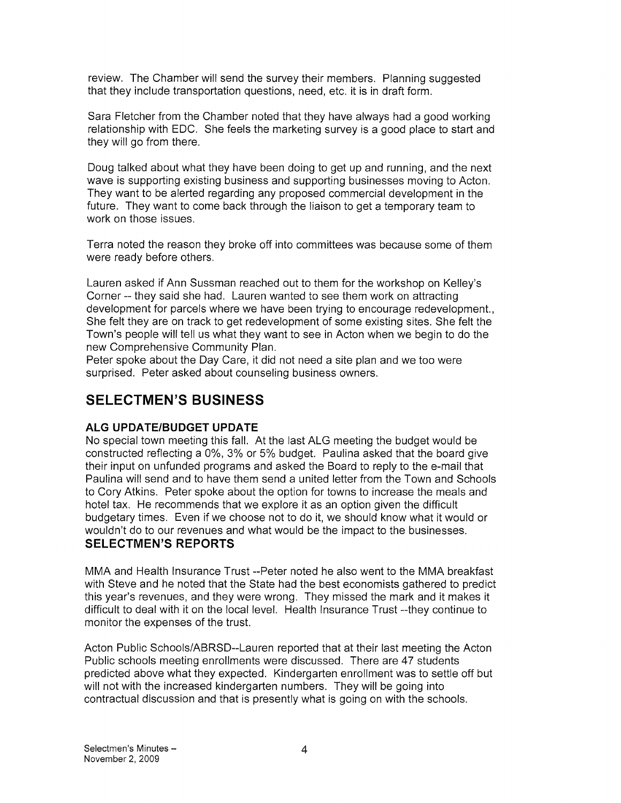review. The Chamber will send the survey their members. Planning suggested that they include transportation questions, need, etc. it is in draft form.

Sara Fletcher from the Chamber noted that they have always had a good working relationship with EDC. She feels the marketing survey is a good place to start and they will go from there.

Doug talked about what they have been doing to get up and running, and the next wave is supporting existing business and supporting businesses moving to Acton. They want to be alerted regarding any proposed commercial development in the future. They want to come back through the liaison to get a temporary team to work on those issues.

Terra noted the reason they broke off into committees was because some of them were ready before others.

Lauren asked if Ann Sussman reached out to them for the workshop on Kelley's Corner -- they said she had. Lauren wanted to see them work on attracting development for parcels where we have been trying to encourage redevelopment., She felt they are on track to get redevelopment of some existing sites. She felt the Town's people will tell us what they want to see in Acton when we begin to do the new Comprehensive Community Plan.

Peter spoke about the Day Care, it did not need a site plan and we too were surprised. Peter asked about counseling business owners.

### SELECTMEN'S BUSINESS

#### ALG UPDATE/BUDGET UPDATE

No special town meeting this fall. At the last ALG meeting the budget would be constructed reflecting a 0%, 3% or 5% budget. Paulina asked that the board give their input on unfunded programs and asked the Board to reply to the e-mail that Paulina will send and to have them send a united letter from the Town and Schools to Cory Atkins. Peter spoke about the option for towns to increase the meals and hotel tax. He recommends that we explore it as an option given the difficult budgetary times. Even if we choose not to do it, we should know what it would or wouldn't do to our revenues and what would be the impact to the businesses. SELECTMEN'S REPORTS

MMA and Health Insurance Trust --Peter noted he also went to the MMA breakfast with Steve and he noted that the State had the best economists gathered to predict this year's revenues, and they were wrong. They missed the mark and it makes it difficult to deal with it on the local level. Health Insurance Trust --they continue to monitor the expenses of the trust.

Acton Public Schools/ABRSD--Lauren reported that at their last meeting the Acton Public schools meeting enrollments were discussed. There are 47 students predicted above what they expected. Kindergarten enrollment was to settle off but will not with the increased kindergarten numbers. They will be going into contractual discussion and that is presently what is going on with the schools.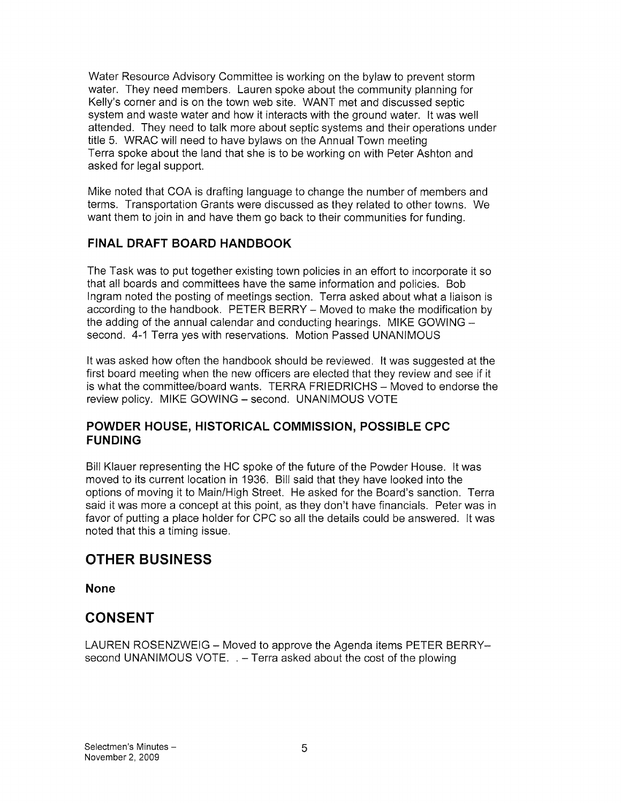Water Resource Advisory Committee is working on the bylaw to prevent storm water. They need members. Lauren spoke about the community planning for Kelly's corner and is on the town web site. WANT met and discussed septic system and waste water and how it interacts with the ground water. It was well attended. They need to talk more about septic systems and their operations under title 5. WRAC will need to have bylaws on the Annual Town meeting Terra spoke about the land that she is to be working on with Peter Ashton and asked for legal support.

Mike noted that COA is drafting language to change the number of members and terms. Transportation Grants were discussed as they related to other towns. We want them to join in and have them go back to their communities for funding.

### FINAL DRAFT BOARD HANDBOOK

The Task was to put together existing town policies in an effort to incorporate it so that all boards and committees have the same information and policies. Bob Ingram noted the posting of meetings section. Terra asked about what a liaison is according to the handbook. PETER BERRY — Moved to make the modification by the adding of the annual calendar and conducting hearings. MIKE GOWING second. 4-1 Terra yes with reservations. Motion Passed UNANIMOUS

It was asked how often the handbook should be reviewed. It was suggested at the first board meeting when the new officers are elected that they review and see if it is what the committee/board wants. TERRA FRIEDRICHS — Moved to endorse the review policy. MIKE GOWING — second. UNANIMOUS VOTE

### POWDER HOUSE, HISTORICAL COMMISSION, POSSIBLE CPC **FUNDING**

Bill Klauer representing the HC spoke of the future of the Powder House. It was moved to its current location in 1936. Bill said that they have looked into the options of moving it to Main/High Street. He asked for the Board's sanction. Terra said it was more a concept at this point, as they don't have financials. Peter was in favor of putting a place holder for CPC so all the details could be answered. It was noted that this a timing issue.

## OTHER BUSINESS

None

## CONSENT

LAUREN ROSENZWEIG — Moved to approve the Agenda items PETER BERRY second UNANIMOUS VOTE. . — Terra asked about the cost of the plowing